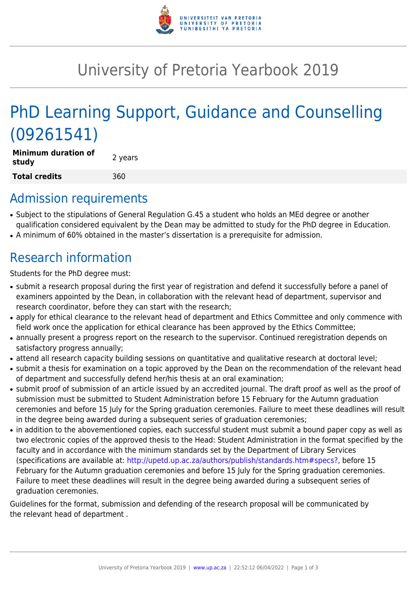

## University of Pretoria Yearbook 2019

# PhD Learning Support, Guidance and Counselling (09261541)

| Minimum duration of<br>study | 2 years |
|------------------------------|---------|
| Total credits                | 360     |

### Admission requirements

- Subject to the stipulations of General Regulation G.45 a student who holds an MEd degree or another qualification considered equivalent by the Dean may be admitted to study for the PhD degree in Education.
- A minimum of 60% obtained in the master's dissertation is a prerequisite for admission.

## Research information

Students for the PhD degree must:

- submit a research proposal during the first year of registration and defend it successfully before a panel of examiners appointed by the Dean, in collaboration with the relevant head of department, supervisor and research coordinator, before they can start with the research;
- apply for ethical clearance to the relevant head of department and Ethics Committee and only commence with field work once the application for ethical clearance has been approved by the Ethics Committee;
- annually present a progress report on the research to the supervisor. Continued reregistration depends on satisfactory progress annually;
- attend all research capacity building sessions on quantitative and qualitative research at doctoral level;
- submit a thesis for examination on a topic approved by the Dean on the recommendation of the relevant head of department and successfully defend her/his thesis at an oral examination;
- submit proof of submission of an article issued by an accredited journal. The draft proof as well as the proof of submission must be submitted to Student Administration before 15 February for the Autumn graduation ceremonies and before 15 July for the Spring graduation ceremonies. Failure to meet these deadlines will result in the degree being awarded during a subsequent series of graduation ceremonies;
- in addition to the abovementioned copies, each successful student must submit a bound paper copy as well as two electronic copies of the approved thesis to the Head: Student Administration in the format specified by the faculty and in accordance with the minimum standards set by the Department of Library Services (specifications are available at: [http://upetd.up.ac.za/authors/publish/standards.htm#specs?,](http://upetd.up.ac.za/authors/publish/standards.htm#specs) before 15 February for the Autumn graduation ceremonies and before 15 July for the Spring graduation ceremonies. Failure to meet these deadlines will result in the degree being awarded during a subsequent series of graduation ceremonies.

Guidelines for the format, submission and defending of the research proposal will be communicated by the relevant head of department .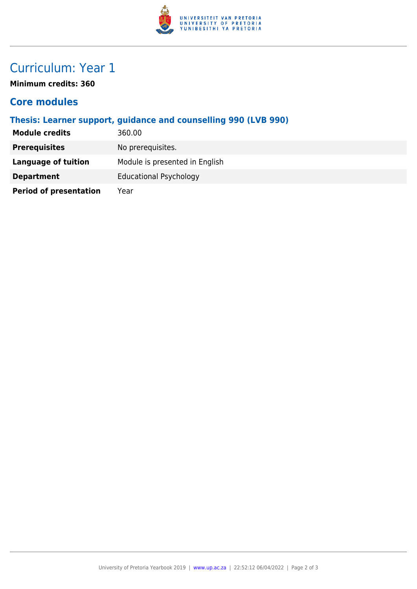

### Curriculum: Year 1

**Minimum credits: 360**

#### **Core modules**

**Thesis: Learner support, guidance and counselling 990 (LVB 990)**

| <b>Module credits</b>         | 360.00                         |
|-------------------------------|--------------------------------|
| <b>Prerequisites</b>          | No prerequisites.              |
| <b>Language of tuition</b>    | Module is presented in English |
| <b>Department</b>             | <b>Educational Psychology</b>  |
| <b>Period of presentation</b> | Year                           |